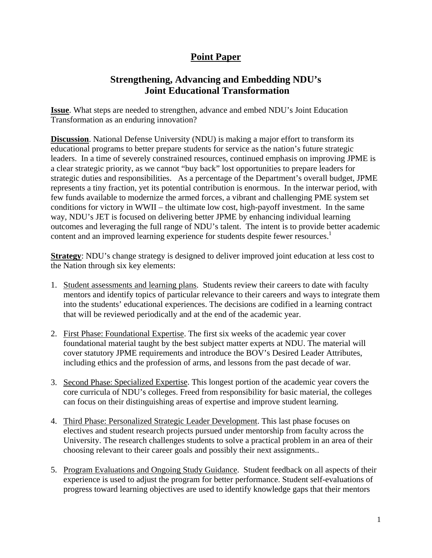# **Point Paper**

## **Strengthening, Advancing and Embedding NDU's Joint Educational Transformation**

**Issue**. What steps are needed to strengthen, advance and embed NDU's Joint Education Transformation as an enduring innovation?

**Discussion**. National Defense University (NDU) is making a major effort to transform its educational programs to better prepare students for service as the nation's future strategic leaders. In a time of severely constrained resources, continued emphasis on improving JPME is a clear strategic priority, as we cannot "buy back" lost opportunities to prepare leaders for strategic duties and responsibilities. As a percentage of the Department's overall budget, JPME represents a tiny fraction, yet its potential contribution is enormous. In the interwar period, with few funds available to modernize the armed forces, a vibrant and challenging PME system set conditions for victory in WWII – the ultimate low cost, high-payoff investment. In the same way, NDU's JET is focused on delivering better JPME by enhancing individual learning outcomes and leveraging the full range of NDU's talent. The intent is to provide better academic content and an improved learning experience for students despite fewer resources.<sup>1</sup>

**Strategy**: NDU's change strategy is designed to deliver improved joint education at less cost to the Nation through six key elements:

- 1. Student assessments and learning plans. Students review their careers to date with faculty mentors and identify topics of particular relevance to their careers and ways to integrate them into the students' educational experiences. The decisions are codified in a learning contract that will be reviewed periodically and at the end of the academic year.
- 2. First Phase: Foundational Expertise. The first six weeks of the academic year cover foundational material taught by the best subject matter experts at NDU. The material will cover statutory JPME requirements and introduce the BOV's Desired Leader Attributes, including ethics and the profession of arms, and lessons from the past decade of war.
- 3. Second Phase: Specialized Expertise. This longest portion of the academic year covers the core curricula of NDU's colleges. Freed from responsibility for basic material, the colleges can focus on their distinguishing areas of expertise and improve student learning.
- 4. Third Phase: Personalized Strategic Leader Development. This last phase focuses on electives and student research projects pursued under mentorship from faculty across the University. The research challenges students to solve a practical problem in an area of their choosing relevant to their career goals and possibly their next assignments..
- 5. Program Evaluations and Ongoing Study Guidance. Student feedback on all aspects of their experience is used to adjust the program for better performance. Student self-evaluations of progress toward learning objectives are used to identify knowledge gaps that their mentors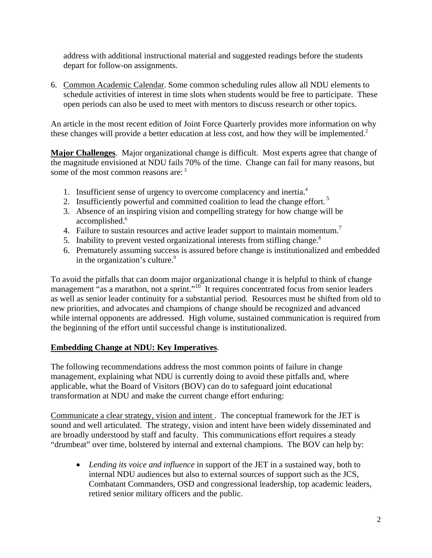address with additional instructional material and suggested readings before the students depart for follow-on assignments.

6. Common Academic Calendar. Some common scheduling rules allow all NDU elements to schedule activities of interest in time slots when students would be free to participate. These open periods can also be used to meet with mentors to discuss research or other topics.

An article in the most recent edition of Joint Force Quarterly provides more information on why these changes will provide a better education at less cost, and how they will be implemented.<sup>2</sup>

**Major Challenges**. Major organizational change is difficult. Most experts agree that change of the magnitude envisioned at NDU fails 70% of the time. Change can fail for many reasons, but some of the most common reasons are:<sup>3</sup>

- 1. Insufficient sense of urgency to overcome complacency and inertia.<sup>4</sup>
- 2. Insufficiently powerful and committed coalition to lead the change effort.<sup>5</sup>
- 3. Absence of an inspiring vision and compelling strategy for how change will be accomplished.<sup>6</sup>
- 4. Failure to sustain resources and active leader support to maintain momentum.<sup>7</sup>
- 5. Inability to prevent vested organizational interests from stifling change.<sup>8</sup>
- 6. Prematurely assuming success is assured before change is institutionalized and embedded in the organization's culture.<sup>9</sup>

To avoid the pitfalls that can doom major organizational change it is helpful to think of change management "as a marathon, not a sprint."<sup>10</sup> It requires concentrated focus from senior leaders as well as senior leader continuity for a substantial period. Resources must be shifted from old to new priorities, and advocates and champions of change should be recognized and advanced while internal opponents are addressed. High volume, sustained communication is required from the beginning of the effort until successful change is institutionalized.

#### **Embedding Change at NDU: Key Imperatives**.

The following recommendations address the most common points of failure in change management, explaining what NDU is currently doing to avoid these pitfalls and, where applicable, what the Board of Visitors (BOV) can do to safeguard joint educational transformation at NDU and make the current change effort enduring:

Communicate a clear strategy, vision and intent . The conceptual framework for the JET is sound and well articulated. The strategy, vision and intent have been widely disseminated and are broadly understood by staff and faculty. This communications effort requires a steady "drumbeat" over time, bolstered by internal and external champions. The BOV can help by:

 *Lending its voice and influence* in support of the JET in a sustained way, both to internal NDU audiences but also to external sources of support such as the JCS, Combatant Commanders, OSD and congressional leadership, top academic leaders, retired senior military officers and the public.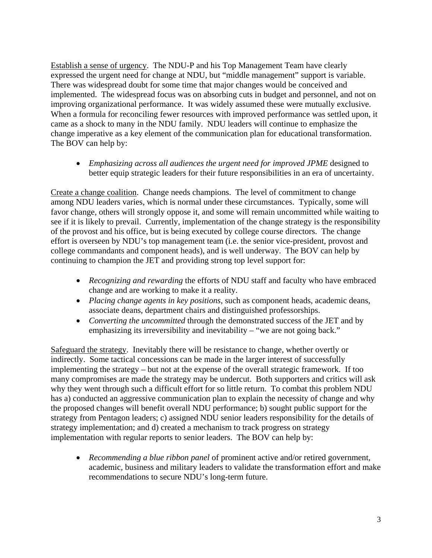Establish a sense of urgency. The NDU-P and his Top Management Team have clearly expressed the urgent need for change at NDU, but "middle management" support is variable. There was widespread doubt for some time that major changes would be conceived and implemented. The widespread focus was on absorbing cuts in budget and personnel, and not on improving organizational performance. It was widely assumed these were mutually exclusive. When a formula for reconciling fewer resources with improved performance was settled upon, it came as a shock to many in the NDU family. NDU leaders will continue to emphasize the change imperative as a key element of the communication plan for educational transformation. The BOV can help by:

 *Emphasizing across all audiences the urgent need for improved JPME* designed to better equip strategic leaders for their future responsibilities in an era of uncertainty.

Create a change coalition. Change needs champions. The level of commitment to change among NDU leaders varies, which is normal under these circumstances. Typically, some will favor change, others will strongly oppose it, and some will remain uncommitted while waiting to see if it is likely to prevail. Currently, implementation of the change strategy is the responsibility of the provost and his office, but is being executed by college course directors. The change effort is overseen by NDU's top management team (i.e. the senior vice-president, provost and college commandants and component heads), and is well underway. The BOV can help by continuing to champion the JET and providing strong top level support for:

- *Recognizing and rewarding* the efforts of NDU staff and faculty who have embraced change and are working to make it a reality.
- *Placing change agents in key positions*, such as component heads, academic deans, associate deans, department chairs and distinguished professorships.
- *Converting the uncommitted* through the demonstrated success of the JET and by emphasizing its irreversibility and inevitability – "we are not going back."

Safeguard the strategy. Inevitably there will be resistance to change, whether overtly or indirectly. Some tactical concessions can be made in the larger interest of successfully implementing the strategy – but not at the expense of the overall strategic framework. If too many compromises are made the strategy may be undercut. Both supporters and critics will ask why they went through such a difficult effort for so little return. To combat this problem NDU has a) conducted an aggressive communication plan to explain the necessity of change and why the proposed changes will benefit overall NDU performance; b) sought public support for the strategy from Pentagon leaders; c) assigned NDU senior leaders responsibility for the details of strategy implementation; and d) created a mechanism to track progress on strategy implementation with regular reports to senior leaders. The BOV can help by:

 *Recommending a blue ribbon panel* of prominent active and/or retired government, academic, business and military leaders to validate the transformation effort and make recommendations to secure NDU's long-term future.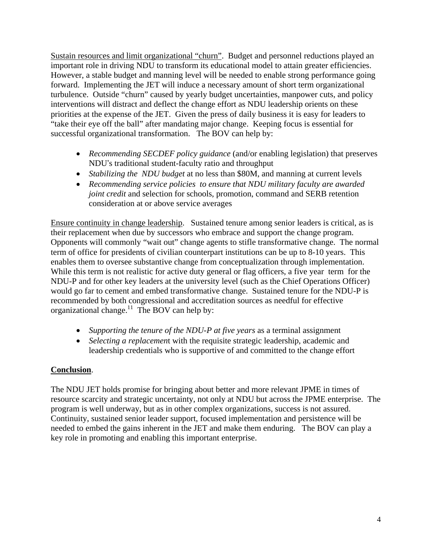Sustain resources and limit organizational "churn". Budget and personnel reductions played an important role in driving NDU to transform its educational model to attain greater efficiencies. However, a stable budget and manning level will be needed to enable strong performance going forward. Implementing the JET will induce a necessary amount of short term organizational turbulence. Outside "churn" caused by yearly budget uncertainties, manpower cuts, and policy interventions will distract and deflect the change effort as NDU leadership orients on these priorities at the expense of the JET. Given the press of daily business it is easy for leaders to "take their eye off the ball" after mandating major change. Keeping focus is essential for successful organizational transformation. The BOV can help by:

- *Recommending SECDEF policy guidance* (and/or enabling legislation) that preserves NDU's traditional student-faculty ratio and throughput
- *Stabilizing the NDU budget* at no less than \$80M, and manning at current levels
- *Recommending service policies to ensure that NDU military faculty are awarded joint credit* and selection for schools, promotion, command and SERB retention consideration at or above service averages

Ensure continuity in change leadership. Sustained tenure among senior leaders is critical, as is their replacement when due by successors who embrace and support the change program. Opponents will commonly "wait out" change agents to stifle transformative change. The normal term of office for presidents of civilian counterpart institutions can be up to 8-10 years. This enables them to oversee substantive change from conceptualization through implementation. While this term is not realistic for active duty general or flag officers, a five year term for the NDU-P and for other key leaders at the university level (such as the Chief Operations Officer) would go far to cement and embed transformative change. Sustained tenure for the NDU-P is recommended by both congressional and accreditation sources as needful for effective organizational change.11 The BOV can help by:

- *Supporting the tenure of the NDU-P at five years* as a terminal assignment
- *Selecting a replacemen*t with the requisite strategic leadership, academic and leadership credentials who is supportive of and committed to the change effort

### **Conclusion**.

The NDU JET holds promise for bringing about better and more relevant JPME in times of resource scarcity and strategic uncertainty, not only at NDU but across the JPME enterprise. The program is well underway, but as in other complex organizations, success is not assured. Continuity, sustained senior leader support, focused implementation and persistence will be needed to embed the gains inherent in the JET and make them enduring. The BOV can play a key role in promoting and enabling this important enterprise.